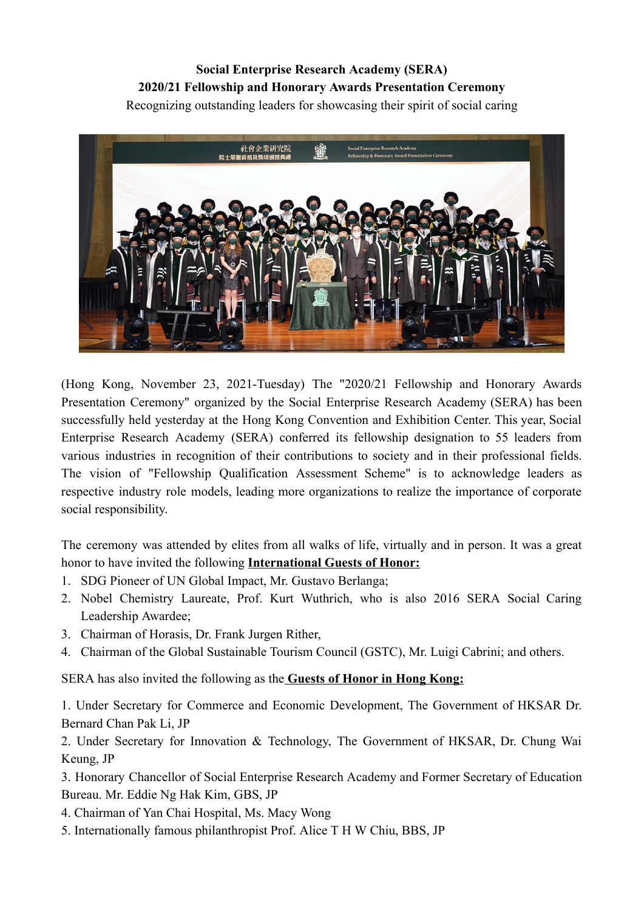## **Social Enterprise Research Academy (SERA) 2020/21 Fellowship and Honorary Awards Presentation Ceremony** Recognizing outstanding leaders for showcasing their spirit of social caring



(Hong Kong, November 23, 2021-Tuesday) The "2020/21 Fellowship and Honorary Awards Presentation Ceremony" organized by the Social Enterprise Research Academy (SERA) has been successfully held yesterday at the Hong Kong Convention and Exhibition Center. This year, Social Enterprise Research Academy (SERA) conferred its fellowship designation to 55 leaders from various industries in recognition of their contributions to society and in their professional fields. The vision of "Fellowship Qualification Assessment Scheme" is to acknowledge leaders as respective industry role models, leading more organizations to realize the importance of corporate social responsibility.

The ceremony was attended by elites from all walks of life, virtually and in person. It was a great honor to have invited the following **International Guests of Honor:**

- 1. SDG Pioneer of UN Global Impact, Mr. Gustavo Berlanga;
- 2. Nobel Chemistry Laureate, Prof. Kurt Wuthrich, who is also 2016 SERA Social Caring Leadership Awardee;
- 3. Chairman of Horasis, Dr. Frank Jurgen Rither,
- 4. Chairman of the Global Sustainable Tourism Council (GSTC), Mr. Luigi Cabrini; and others.

SERA has also invited the following as the **Guests of Honor in Hong Kong:**

1. Under Secretary for Commerce and Economic Development, The Government of HKSAR Dr. Bernard Chan Pak Li, JP

2. Under Secretary for Innovation & Technology, The Government of HKSAR, Dr. Chung Wai Keung, JP

3. Honorary Chancellor of Social Enterprise Research Academy and Former Secretary of Education Bureau. Mr. Eddie Ng Hak Kim, GBS, JP

4. Chairman of Yan Chai Hospital, Ms. Macy Wong

5. Internationally famous philanthropist Prof. Alice T H W Chiu, BBS, JP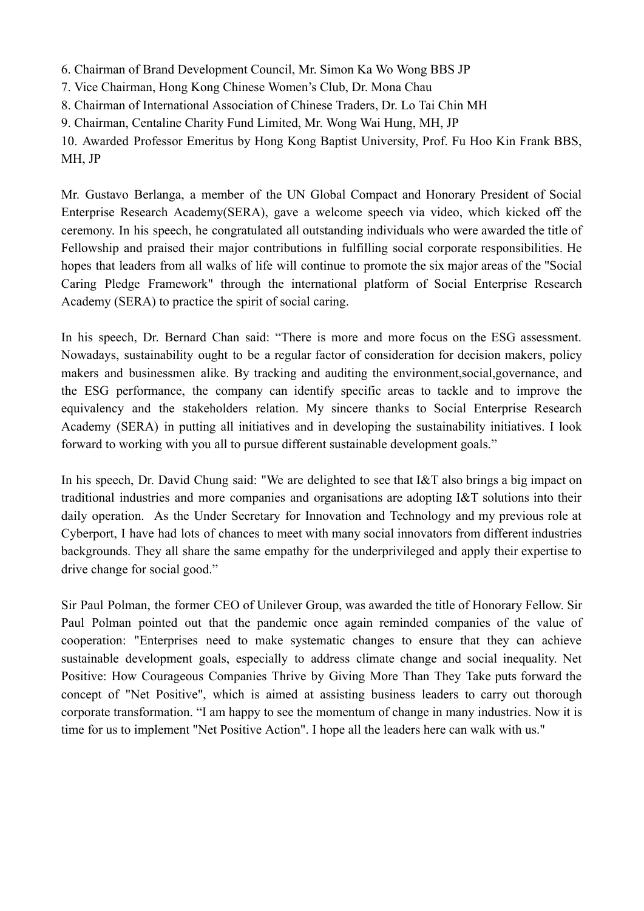- 6. Chairman of Brand Development Council, Mr. Simon Ka Wo Wong BBS JP
- 7. Vice Chairman, Hong Kong Chinese Women's Club, Dr. Mona Chau
- 8. Chairman of International Association of Chinese Traders, Dr. Lo Tai Chin MH
- 9. Chairman, Centaline Charity Fund Limited, Mr. Wong Wai Hung, MH, JP

10. Awarded Professor Emeritus by Hong Kong Baptist University, Prof. Fu Hoo Kin Frank BBS, MH, JP

Mr. Gustavo Berlanga, a member of the UN Global Compact and Honorary President of Social Enterprise Research Academy(SERA), gave a welcome speech via video, which kicked off the ceremony. In his speech, he congratulated all outstanding individuals who were awarded the title of Fellowship and praised their major contributions in fulfilling social corporate responsibilities. He hopes that leaders from all walks of life will continue to promote the six major areas of the "Social Caring Pledge Framework" through the international platform of Social Enterprise Research Academy (SERA) to practice the spirit of social caring.

In his speech, Dr. Bernard Chan said: "There is more and more focus on the ESG assessment. Nowadays, sustainability ought to be a regular factor of consideration for decision makers, policy makers and businessmen alike. By tracking and auditing the environment,social,governance, and the ESG performance, the company can identify specific areas to tackle and to improve the equivalency and the stakeholders relation. My sincere thanks to Social Enterprise Research Academy (SERA) in putting all initiatives and in developing the sustainability initiatives. I look forward to working with you all to pursue different sustainable development goals."

In his speech, Dr. David Chung said: "We are delighted to see that I&T also brings a big impact on traditional industries and more companies and organisations are adopting I&T solutions into their daily operation. As the Under Secretary for Innovation and Technology and my previous role at Cyberport, I have had lots of chances to meet with many social innovators from different industries backgrounds. They all share the same empathy for the underprivileged and apply their expertise to drive change for social good."

Sir Paul Polman, the former CEO of Unilever Group, was awarded the title of Honorary Fellow. Sir Paul Polman pointed out that the pandemic once again reminded companies of the value of cooperation: "Enterprises need to make systematic changes to ensure that they can achieve sustainable development goals, especially to address climate change and social inequality. Net Positive: How Courageous Companies Thrive by Giving More Than They Take puts forward the concept of "Net Positive", which is aimed at assisting business leaders to carry out thorough corporate transformation. "I am happy to see the momentum of change in many industries. Now it is time for us to implement "Net Positive Action". I hope all the leaders here can walk with us."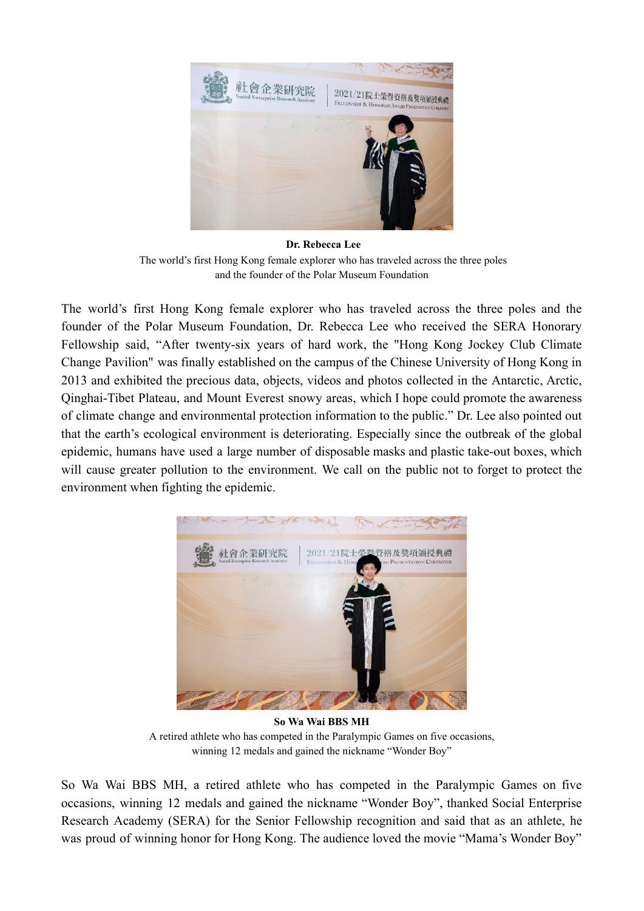

**Dr. Rebecca Lee** The world's first Hong Kong female explorer who has traveled across the three poles and the founder of the Polar Museum Foundation

# The world's first Hong Kong female explorer who has traveled across the three poles and the founder of the Polar Museum Foundation, Dr. Rebecca Lee who received the SERA Honorary Fellowship said, "After twenty-six years of hard work, the "Hong Kong Jockey Club Climate Change Pavilion" was finally established on the campus of the Chinese University of Hong Kong in 2013 and exhibited the precious data, objects, videos and photos collected in the Antarctic, Arctic, Qinghai-Tibet Plateau, and Mount Everest snowy areas, which I hope could promote the awareness of climate change and environmental protection information to the public." Dr. Lee also pointed out that the earth's ecological environment is deteriorating. Especially since the outbreak of the global epidemic, humans have used a large number of disposable masks and plastic take-out boxes, which will cause greater pollution to the environment. We call on the public not to forget to protect the environment when fighting the epidemic.



**So Wa Wai BBS MH** A retired athlete who has competed in the Paralympic Games on five occasions, winning 12 medals and gained the nickname "Wonder Boy"

So Wa Wai BBS MH, a retired athlete who has competed in the Paralympic Games on five occasions, winning 12 medals and gained the nickname "Wonder Boy", thanked Social Enterprise Research Academy (SERA) for the Senior Fellowship recognition and said that as an athlete, he was proud of winning honor for Hong Kong. The audience loved the movie "Mama's Wonder Boy"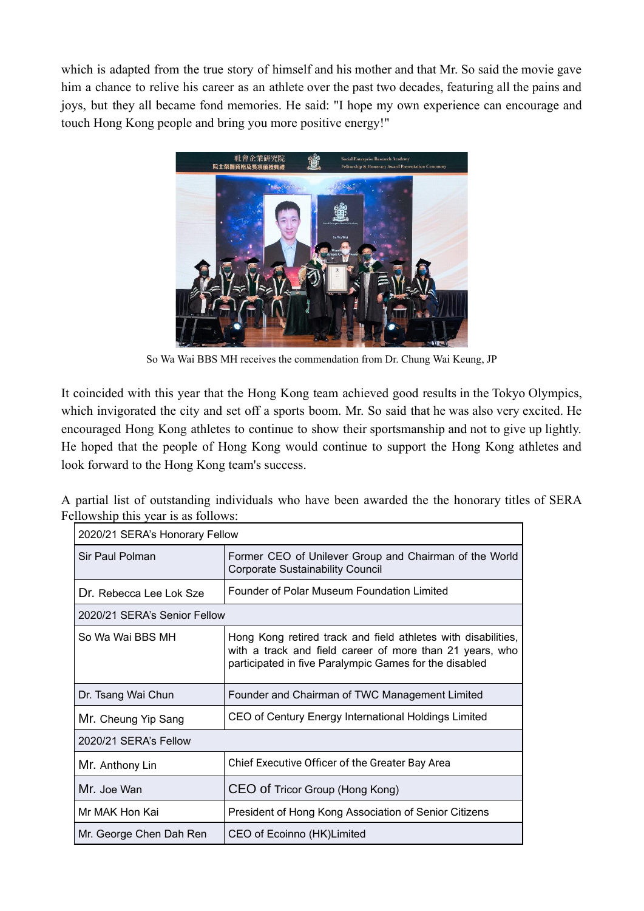which is adapted from the true story of himself and his mother and that Mr. So said the movie gave him a chance to relive his career as an athlete over the past two decades, featuring all the pains and joys, but they all became fond memories. He said: "I hope my own experience can encourage and touch Hong Kong people and bring you more positive energy!"



So Wa Wai BBS MH receives the commendation from Dr. Chung Wai Keung, JP

It coincided with this year that the Hong Kong team achieved good results in the Tokyo Olympics, which invigorated the city and set off a sports boom. Mr. So said that he was also very excited. He encouraged Hong Kong athletes to continue to show their sportsmanship and not to give up lightly. He hoped that the people of Hong Kong would continue to support the Hong Kong athletes and look forward to the Hong Kong team's success.

A partial list of outstanding individuals who have been awarded the the honorary titles of SERA Fellowship this year is as follows:

| 2020/21 SERA's Honorary Fellow |                                                                                                                                                                                     |
|--------------------------------|-------------------------------------------------------------------------------------------------------------------------------------------------------------------------------------|
| Sir Paul Polman                | Former CEO of Unilever Group and Chairman of the World<br>Corporate Sustainability Council                                                                                          |
| Dr. Rebecca Lee Lok Sze        | Founder of Polar Museum Foundation Limited                                                                                                                                          |
| 2020/21 SERA's Senior Fellow   |                                                                                                                                                                                     |
| So Wa Wai BBS MH               | Hong Kong retired track and field athletes with disabilities,<br>with a track and field career of more than 21 years, who<br>participated in five Paralympic Games for the disabled |
| Dr. Tsang Wai Chun             | Founder and Chairman of TWC Management Limited                                                                                                                                      |
| Mr. Cheung Yip Sang            | CEO of Century Energy International Holdings Limited                                                                                                                                |
| 2020/21 SERA's Fellow          |                                                                                                                                                                                     |
| Mr. Anthony Lin                | Chief Executive Officer of the Greater Bay Area                                                                                                                                     |
| Mr. Joe Wan                    | CEO of Tricor Group (Hong Kong)                                                                                                                                                     |
| Mr MAK Hon Kai                 | President of Hong Kong Association of Senior Citizens                                                                                                                               |
| Mr. George Chen Dah Ren        | CEO of Ecoinno (HK)Limited                                                                                                                                                          |